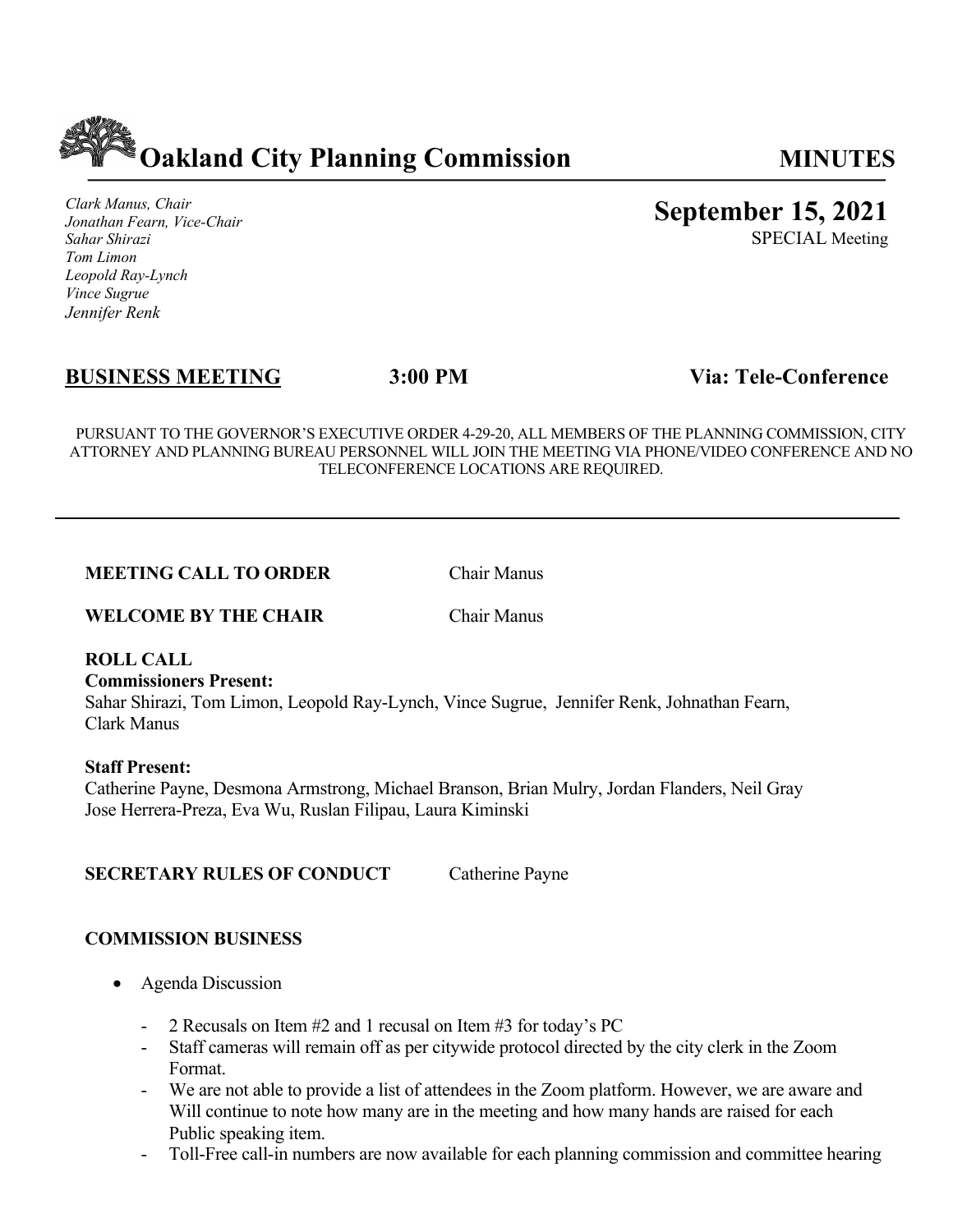

*Clark Manus, Chair Jonathan Fearn, Vice-Chair Sahar Shirazi Tom Limon Leopold Ray-Lynch Vince Sugrue Jennifer Renk*

# **September 15, 2021**

SPECIAL Meeting

# **BUSINESS MEETING 3:00 PM Via: Tele-Conference**

PURSUANT TO THE GOVERNOR'S EXECUTIVE ORDER 4-29-20, ALL MEMBERS OF THE PLANNING COMMISSION, CITY ATTORNEY AND PLANNING BUREAU PERSONNEL WILL JOIN THE MEETING VIA PHONE/VIDEO CONFERENCE AND NO TELECONFERENCE LOCATIONS ARE REQUIRED.

### **MEETING CALL TO ORDER** Chair Manus

**WELCOME BY THE CHAIR** Chair Manus

### **ROLL CALL**

#### **Commissioners Present:**

Sahar Shirazi, Tom Limon, Leopold Ray-Lynch, Vince Sugrue, Jennifer Renk, Johnathan Fearn, Clark Manus

#### **Staff Present:**

Catherine Payne, Desmona Armstrong, Michael Branson, Brian Mulry, Jordan Flanders, Neil Gray Jose Herrera-Preza, Eva Wu, Ruslan Filipau, Laura Kiminski

### **SECRETARY RULES OF CONDUCT** Catherine Payne

# **COMMISSION BUSINESS**

- Agenda Discussion
	- 2 Recusals on Item #2 and 1 recusal on Item #3 for today's PC
	- Staff cameras will remain off as per citywide protocol directed by the city clerk in the Zoom Format.
	- We are not able to provide a list of attendees in the Zoom platform. However, we are aware and Will continue to note how many are in the meeting and how many hands are raised for each Public speaking item.
	- Toll-Free call-in numbers are now available for each planning commission and committee hearing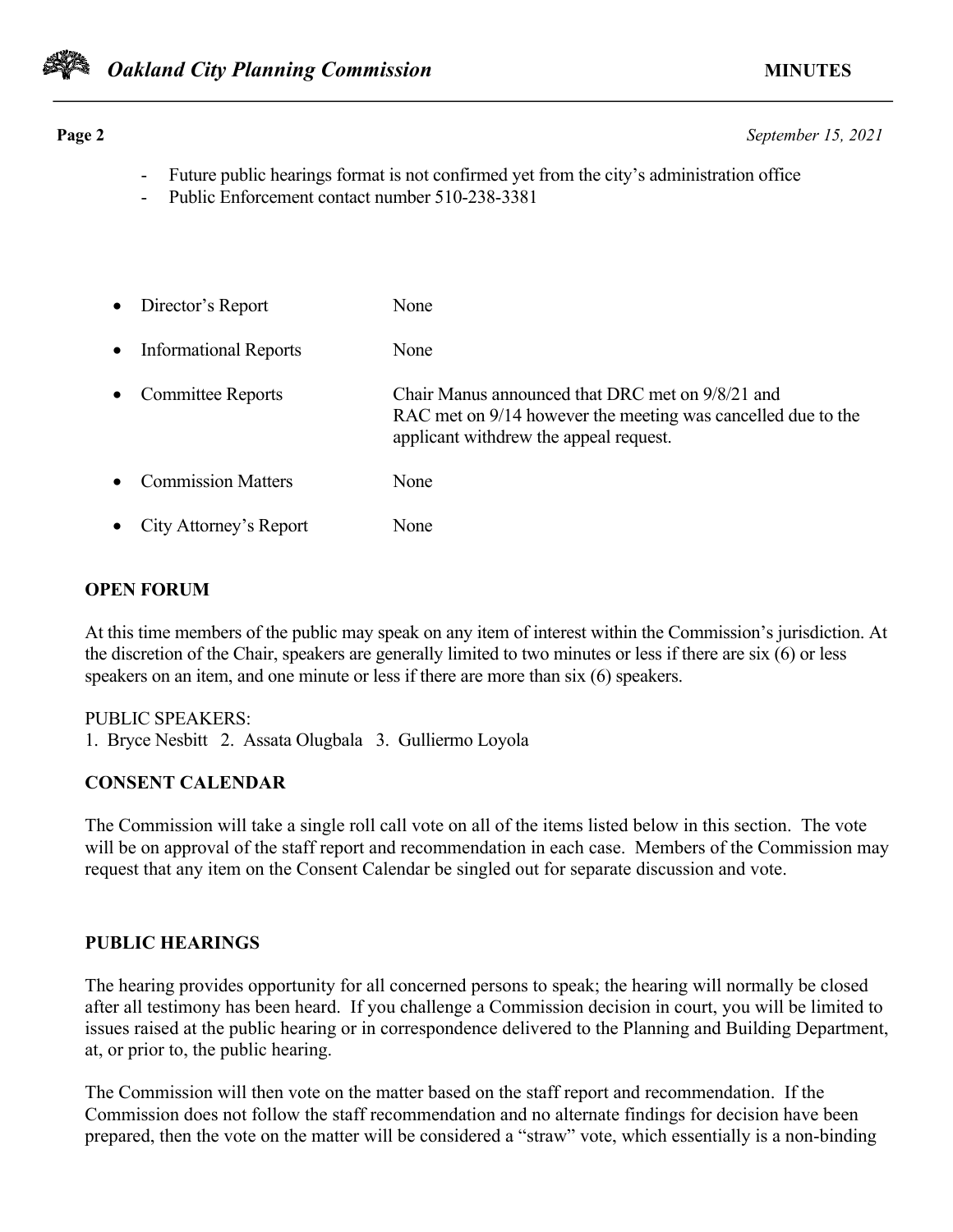

**Page 2** *September 15, 2021*

- Future public hearings format is not confirmed yet from the city's administration office
- Public Enforcement contact number 510-238-3381
- Director's Report None • Informational Reports None • Committee Reports Chair Manus announced that DRC met on 9/8/21 and RAC met on 9/14 however the meeting was cancelled due to the applicant withdrew the appeal request. **Commission Matters** None • City Attorney's Report None

# **OPEN FORUM**

At this time members of the public may speak on any item of interest within the Commission's jurisdiction. At the discretion of the Chair, speakers are generally limited to two minutes or less if there are six (6) or less speakers on an item, and one minute or less if there are more than six (6) speakers.

# PUBLIC SPEAKERS:

1. Bryce Nesbitt 2. Assata Olugbala 3. Gulliermo Loyola

# **CONSENT CALENDAR**

The Commission will take a single roll call vote on all of the items listed below in this section. The vote will be on approval of the staff report and recommendation in each case. Members of the Commission may request that any item on the Consent Calendar be singled out for separate discussion and vote.

# **PUBLIC HEARINGS**

The hearing provides opportunity for all concerned persons to speak; the hearing will normally be closed after all testimony has been heard. If you challenge a Commission decision in court, you will be limited to issues raised at the public hearing or in correspondence delivered to the Planning and Building Department, at, or prior to, the public hearing.

The Commission will then vote on the matter based on the staff report and recommendation. If the Commission does not follow the staff recommendation and no alternate findings for decision have been prepared, then the vote on the matter will be considered a "straw" vote, which essentially is a non-binding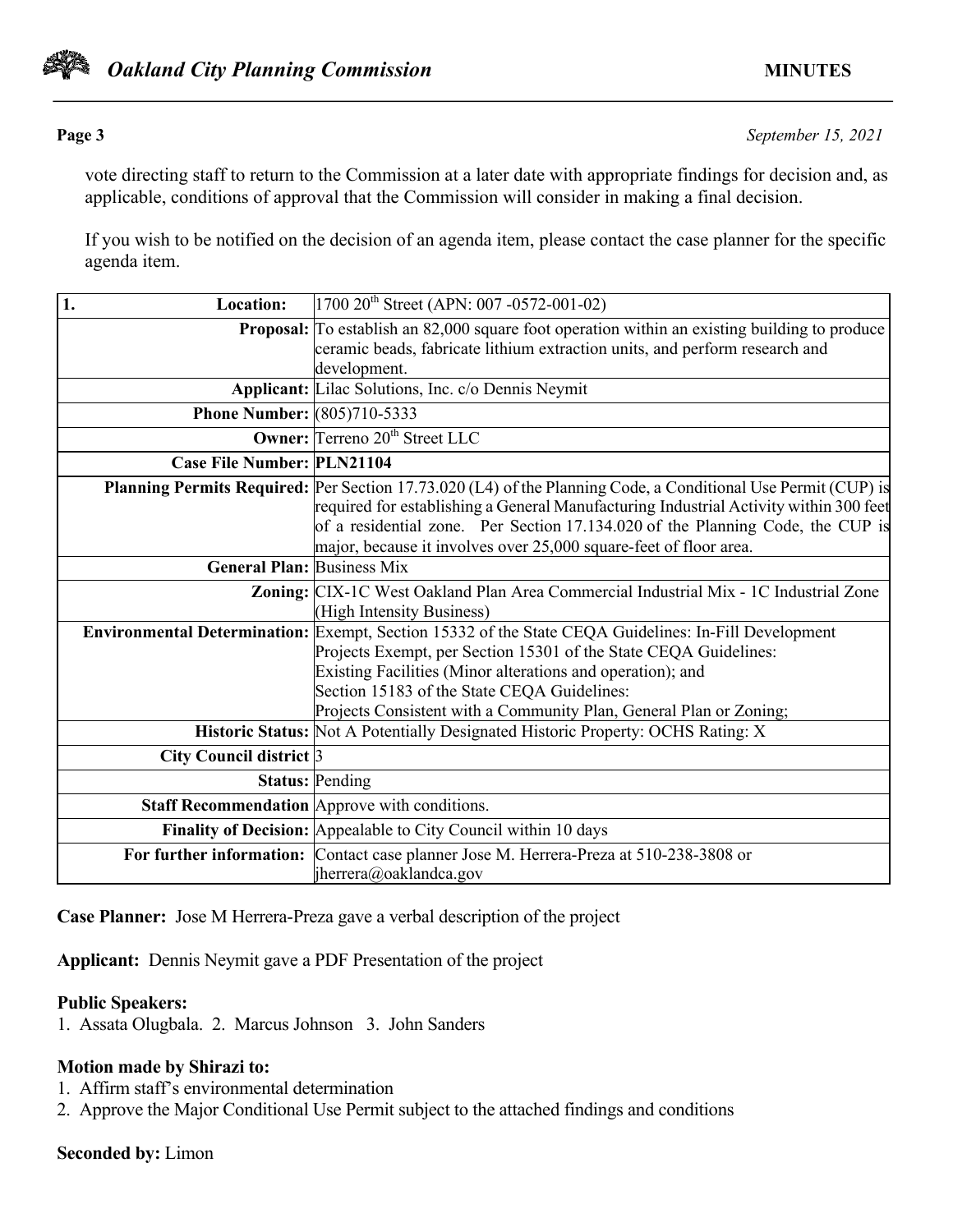

**Page 3** *September 15, 2021*

vote directing staff to return to the Commission at a later date with appropriate findings for decision and, as applicable, conditions of approval that the Commission will consider in making a final decision.

If you wish to be notified on the decision of an agenda item, please contact the case planner for the specific agenda item.

| 1.<br><b>Location:</b>             | $1700 20$ <sup>th</sup> Street (APN: 007 -0572-001-02)                                                                                                                                                                                                                                                                                                        |
|------------------------------------|---------------------------------------------------------------------------------------------------------------------------------------------------------------------------------------------------------------------------------------------------------------------------------------------------------------------------------------------------------------|
|                                    | <b>Proposal:</b> To establish an 82,000 square foot operation within an existing building to produce<br>ceramic beads, fabricate lithium extraction units, and perform research and<br>development.                                                                                                                                                           |
|                                    | <b>Applicant:</b> Lilac Solutions, Inc. c/o Dennis Neymit                                                                                                                                                                                                                                                                                                     |
| <b>Phone Number:</b> (805)710-5333 |                                                                                                                                                                                                                                                                                                                                                               |
|                                    | <b>Owner:</b> Terreno 20 <sup>th</sup> Street LLC                                                                                                                                                                                                                                                                                                             |
| <b>Case File Number: PLN21104</b>  |                                                                                                                                                                                                                                                                                                                                                               |
|                                    | Planning Permits Required: Per Section 17.73.020 (L4) of the Planning Code, a Conditional Use Permit (CUP) is<br>required for establishing a General Manufacturing Industrial Activity within 300 feet<br>of a residential zone. Per Section 17.134.020 of the Planning Code, the CUP is<br>major, because it involves over 25,000 square-feet of floor area. |
| <b>General Plan: Business Mix</b>  |                                                                                                                                                                                                                                                                                                                                                               |
|                                    | Zoning: CIX-1C West Oakland Plan Area Commercial Industrial Mix - 1C Industrial Zone<br>(High Intensity Business)                                                                                                                                                                                                                                             |
|                                    | Environmental Determination: Exempt, Section 15332 of the State CEQA Guidelines: In-Fill Development<br>Projects Exempt, per Section 15301 of the State CEQA Guidelines:<br>Existing Facilities (Minor alterations and operation); and<br>Section 15183 of the State CEQA Guidelines:<br>Projects Consistent with a Community Plan, General Plan or Zoning;   |
|                                    | Historic Status: Not A Potentially Designated Historic Property: OCHS Rating: X                                                                                                                                                                                                                                                                               |
| City Council district 3            |                                                                                                                                                                                                                                                                                                                                                               |
|                                    | <b>Status: Pending</b>                                                                                                                                                                                                                                                                                                                                        |
|                                    | Staff Recommendation Approve with conditions.                                                                                                                                                                                                                                                                                                                 |
|                                    | Finality of Decision: Appealable to City Council within 10 days                                                                                                                                                                                                                                                                                               |
|                                    | For further information: Contact case planner Jose M. Herrera-Preza at 510-238-3808 or<br>jherrera@oaklandca.gov                                                                                                                                                                                                                                              |

**Case Planner:** Jose M Herrera-Preza gave a verbal description of the project

**Applicant:** Dennis Neymit gave a PDF Presentation of the project

### **Public Speakers:**

1. Assata Olugbala. 2. Marcus Johnson 3. John Sanders

### **Motion made by Shirazi to:**

- 1. Affirm staff's environmental determination
- 2. Approve the Major Conditional Use Permit subject to the attached findings and conditions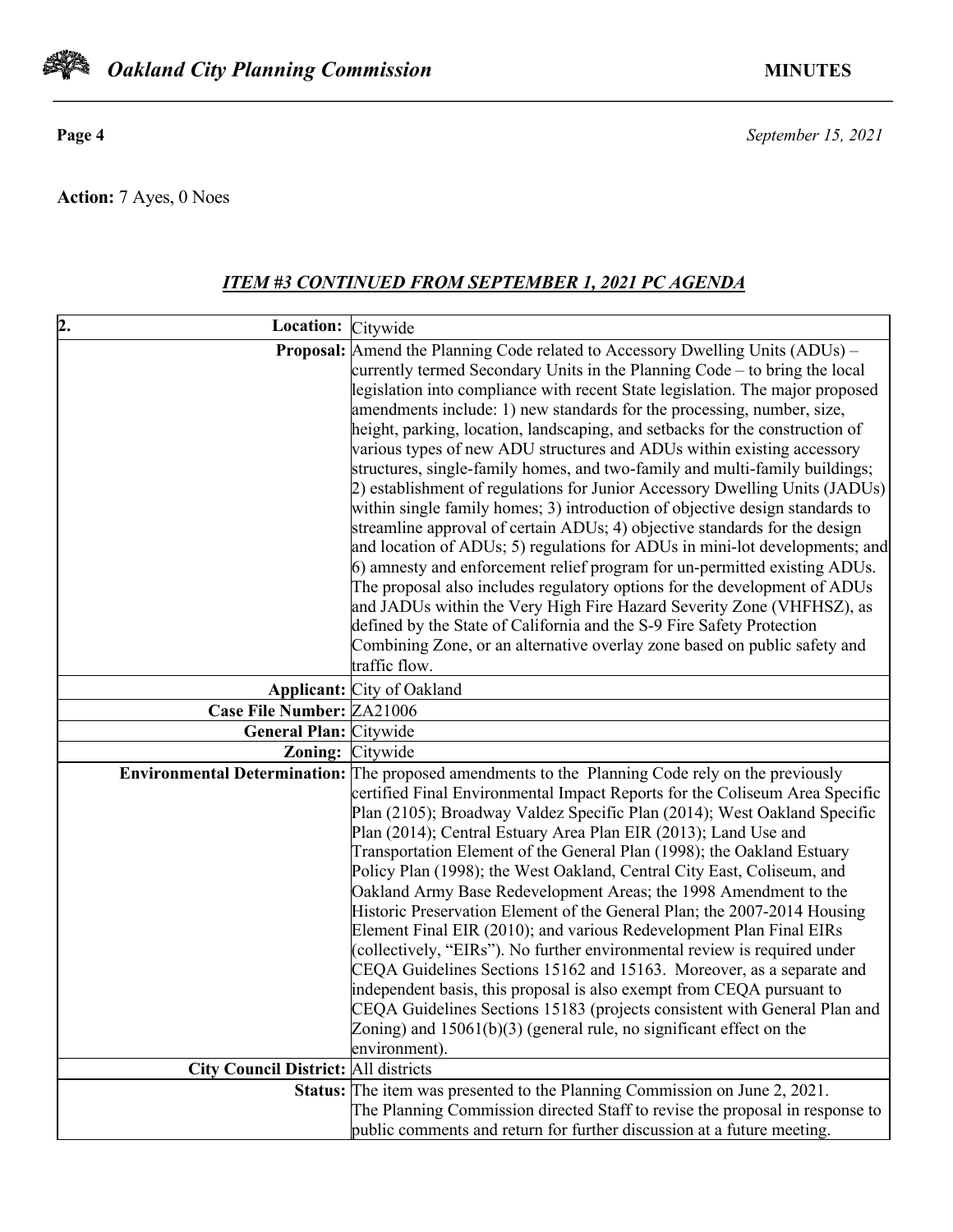

**Action:** 7 Ayes, 0 Noes

# *ITEM #3 CONTINUED FROM SEPTEMBER 1, 2021 PC AGENDA*

| 2.<br>Location: Citywide                    |                                                                                                                                                        |
|---------------------------------------------|--------------------------------------------------------------------------------------------------------------------------------------------------------|
|                                             | <b>Proposal:</b> Amend the Planning Code related to Accessory Dwelling Units (ADUs) –                                                                  |
|                                             | currently termed Secondary Units in the Planning Code – to bring the local                                                                             |
|                                             | legislation into compliance with recent State legislation. The major proposed                                                                          |
|                                             | amendments include: 1) new standards for the processing, number, size,                                                                                 |
|                                             | height, parking, location, landscaping, and setbacks for the construction of                                                                           |
|                                             | various types of new ADU structures and ADUs within existing accessory                                                                                 |
|                                             | structures, single-family homes, and two-family and multi-family buildings;                                                                            |
|                                             | 2) establishment of regulations for Junior Accessory Dwelling Units (JADUs)                                                                            |
|                                             | within single family homes; 3) introduction of objective design standards to                                                                           |
|                                             | streamline approval of certain ADUs; 4) objective standards for the design                                                                             |
|                                             | and location of ADUs; 5) regulations for ADUs in mini-lot developments; and                                                                            |
|                                             | 6) amnesty and enforcement relief program for un-permitted existing ADUs.<br>The proposal also includes regulatory options for the development of ADUs |
|                                             | and JADUs within the Very High Fire Hazard Severity Zone (VHFHSZ), as                                                                                  |
|                                             | defined by the State of California and the S-9 Fire Safety Protection                                                                                  |
|                                             | Combining Zone, or an alternative overlay zone based on public safety and                                                                              |
|                                             | traffic flow.                                                                                                                                          |
|                                             | <b>Applicant:</b> City of Oakland                                                                                                                      |
| Case File Number: ZA21006                   |                                                                                                                                                        |
| General Plan: Citywide                      |                                                                                                                                                        |
| Zoning: Citywide                            |                                                                                                                                                        |
|                                             | Environmental Determination: The proposed amendments to the Planning Code rely on the previously                                                       |
|                                             | certified Final Environmental Impact Reports for the Coliseum Area Specific                                                                            |
|                                             | Plan (2105); Broadway Valdez Specific Plan (2014); West Oakland Specific                                                                               |
|                                             | Plan (2014); Central Estuary Area Plan EIR (2013); Land Use and                                                                                        |
|                                             | Transportation Element of the General Plan (1998); the Oakland Estuary                                                                                 |
|                                             | Policy Plan (1998); the West Oakland, Central City East, Coliseum, and                                                                                 |
|                                             | Oakland Army Base Redevelopment Areas; the 1998 Amendment to the                                                                                       |
|                                             | Historic Preservation Element of the General Plan; the 2007-2014 Housing                                                                               |
|                                             | Element Final EIR (2010); and various Redevelopment Plan Final EIRs                                                                                    |
|                                             | (collectively, "EIRs"). No further environmental review is required under                                                                              |
|                                             | CEQA Guidelines Sections 15162 and 15163. Moreover, as a separate and                                                                                  |
|                                             | independent basis, this proposal is also exempt from CEQA pursuant to                                                                                  |
|                                             | CEQA Guidelines Sections 15183 (projects consistent with General Plan and<br>Zoning) and $15061(b)(3)$ (general rule, no significant effect on the     |
|                                             | environment).                                                                                                                                          |
| <b>City Council District: All districts</b> |                                                                                                                                                        |
|                                             | <b>Status:</b> The item was presented to the Planning Commission on June $2, 2021$ .                                                                   |
|                                             | The Planning Commission directed Staff to revise the proposal in response to                                                                           |
|                                             | public comments and return for further discussion at a future meeting.                                                                                 |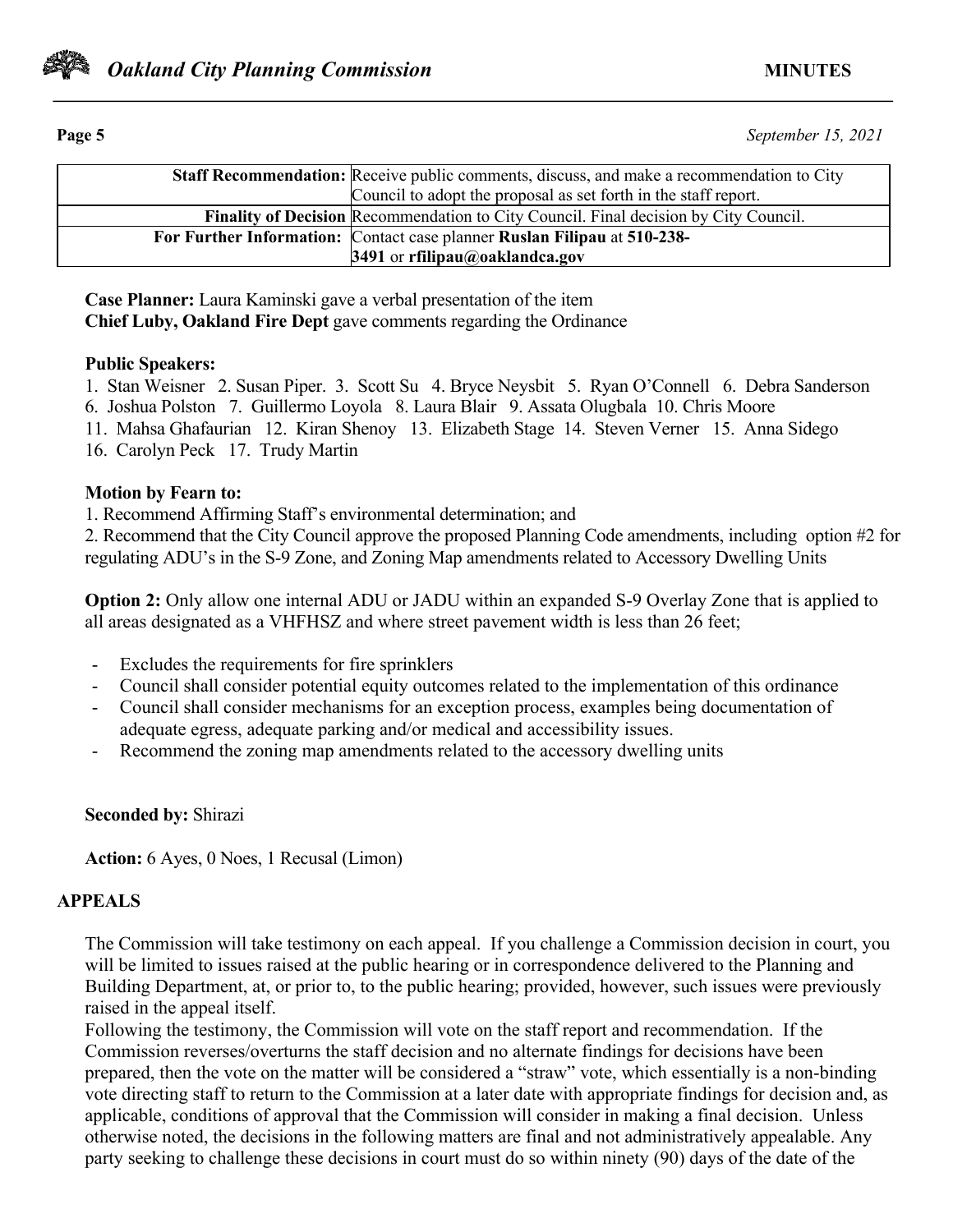

**Page 5** *September 15, 2021*

|                                                                                             | <b>Staff Recommendation:</b> Receive public comments, discuss, and make a recommendation to City |  |
|---------------------------------------------------------------------------------------------|--------------------------------------------------------------------------------------------------|--|
|                                                                                             | Council to adopt the proposal as set forth in the staff report.                                  |  |
|                                                                                             |                                                                                                  |  |
| <b>Finality of Decision</b> Recommendation to City Council. Final decision by City Council. |                                                                                                  |  |
|                                                                                             | For Further Information: Contact case planner Ruslan Filipau at 510-238-                         |  |
|                                                                                             | 3491 or rfilipau@oaklandca.gov                                                                   |  |

**Case Planner:** Laura Kaminski gave a verbal presentation of the item **Chief Luby, Oakland Fire Dept** gave comments regarding the Ordinance

### **Public Speakers:**

1. Stan Weisner 2. Susan Piper. 3. Scott Su 4. Bryce Neysbit 5. Ryan O'Connell 6. Debra Sanderson

6. Joshua Polston 7. Guillermo Loyola 8. Laura Blair 9. Assata Olugbala 10. Chris Moore

- 11. Mahsa Ghafaurian 12. Kiran Shenoy 13. Elizabeth Stage 14. Steven Verner 15. Anna Sidego
- 16. Carolyn Peck 17. Trudy Martin

# **Motion by Fearn to:**

1. Recommend Affirming Staff's environmental determination; and

2. Recommend that the City Council approve the proposed Planning Code amendments, including option #2 for regulating ADU's in the S-9 Zone, and Zoning Map amendments related to Accessory Dwelling Units

**Option 2:** Only allow one internal ADU or JADU within an expanded S-9 Overlay Zone that is applied to all areas designated as a VHFHSZ and where street pavement width is less than 26 feet;

- Excludes the requirements for fire sprinklers
- Council shall consider potential equity outcomes related to the implementation of this ordinance
- Council shall consider mechanisms for an exception process, examples being documentation of adequate egress, adequate parking and/or medical and accessibility issues.
- Recommend the zoning map amendments related to the accessory dwelling units

**Seconded by:** Shirazi

**Action:** 6 Ayes, 0 Noes, 1 Recusal (Limon)

# **APPEALS**

The Commission will take testimony on each appeal. If you challenge a Commission decision in court, you will be limited to issues raised at the public hearing or in correspondence delivered to the Planning and Building Department, at, or prior to, to the public hearing; provided, however, such issues were previously raised in the appeal itself.

Following the testimony, the Commission will vote on the staff report and recommendation. If the Commission reverses/overturns the staff decision and no alternate findings for decisions have been prepared, then the vote on the matter will be considered a "straw" vote, which essentially is a non-binding vote directing staff to return to the Commission at a later date with appropriate findings for decision and, as applicable, conditions of approval that the Commission will consider in making a final decision. Unless otherwise noted, the decisions in the following matters are final and not administratively appealable. Any party seeking to challenge these decisions in court must do so within ninety (90) days of the date of the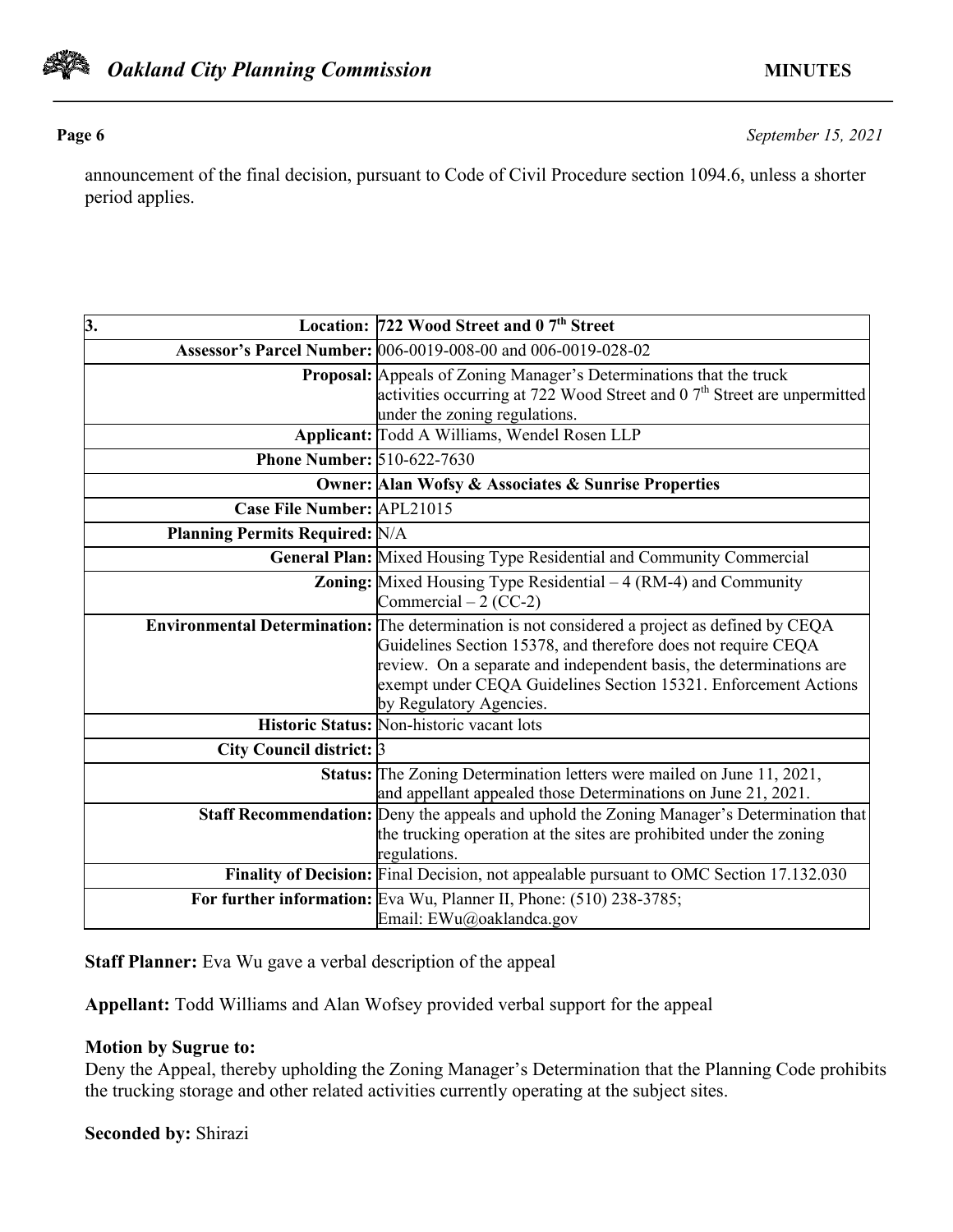

**Page 6** *September 15, 2021*

announcement of the final decision, pursuant to Code of Civil Procedure section 1094.6, unless a shorter period applies.

| 3.                                    | Location: 722 Wood Street and 0 7 <sup>th</sup> Street                                                                                                                                                                                                                                                                              |
|---------------------------------------|-------------------------------------------------------------------------------------------------------------------------------------------------------------------------------------------------------------------------------------------------------------------------------------------------------------------------------------|
|                                       | Assessor's Parcel Number: 006-0019-008-00 and 006-0019-028-02                                                                                                                                                                                                                                                                       |
|                                       | Proposal: Appeals of Zoning Manager's Determinations that the truck<br>activities occurring at 722 Wood Street and 0 7 <sup>th</sup> Street are unpermitted<br>under the zoning regulations.                                                                                                                                        |
|                                       | Applicant: Todd A Williams, Wendel Rosen LLP                                                                                                                                                                                                                                                                                        |
|                                       | <b>Phone Number: 510-622-7630</b>                                                                                                                                                                                                                                                                                                   |
|                                       | <b>Owner: Alan Wofsy &amp; Associates &amp; Sunrise Properties</b>                                                                                                                                                                                                                                                                  |
| Case File Number: APL21015            |                                                                                                                                                                                                                                                                                                                                     |
| <b>Planning Permits Required: N/A</b> |                                                                                                                                                                                                                                                                                                                                     |
|                                       | General Plan: Mixed Housing Type Residential and Community Commercial                                                                                                                                                                                                                                                               |
|                                       | <b>Zoning:</b> Mixed Housing Type Residential $-4$ (RM-4) and Community<br>Commercial $-2$ (CC-2)                                                                                                                                                                                                                                   |
|                                       | Environmental Determination: The determination is not considered a project as defined by CEQA<br>Guidelines Section 15378, and therefore does not require CEQA<br>review. On a separate and independent basis, the determinations are<br>exempt under CEQA Guidelines Section 15321. Enforcement Actions<br>by Regulatory Agencies. |
|                                       | Historic Status: Non-historic vacant lots                                                                                                                                                                                                                                                                                           |
| City Council district: 3              |                                                                                                                                                                                                                                                                                                                                     |
|                                       | Status: The Zoning Determination letters were mailed on June 11, 2021,<br>and appellant appealed those Determinations on June 21, 2021.                                                                                                                                                                                             |
|                                       | <b>Staff Recommendation:</b> Deny the appeals and uphold the Zoning Manager's Determination that<br>the trucking operation at the sites are prohibited under the zoning<br>regulations.                                                                                                                                             |
|                                       | Finality of Decision: Final Decision, not appealable pursuant to OMC Section 17.132.030                                                                                                                                                                                                                                             |
|                                       | For further information: Eva Wu, Planner II, Phone: (510) 238-3785;<br>Email: EWu@oaklandca.gov                                                                                                                                                                                                                                     |

**Staff Planner:** Eva Wu gave a verbal description of the appeal

**Appellant:** Todd Williams and Alan Wofsey provided verbal support for the appeal

### **Motion by Sugrue to:**

Deny the Appeal, thereby upholding the Zoning Manager's Determination that the Planning Code prohibits the trucking storage and other related activities currently operating at the subject sites.

**Seconded by:** Shirazi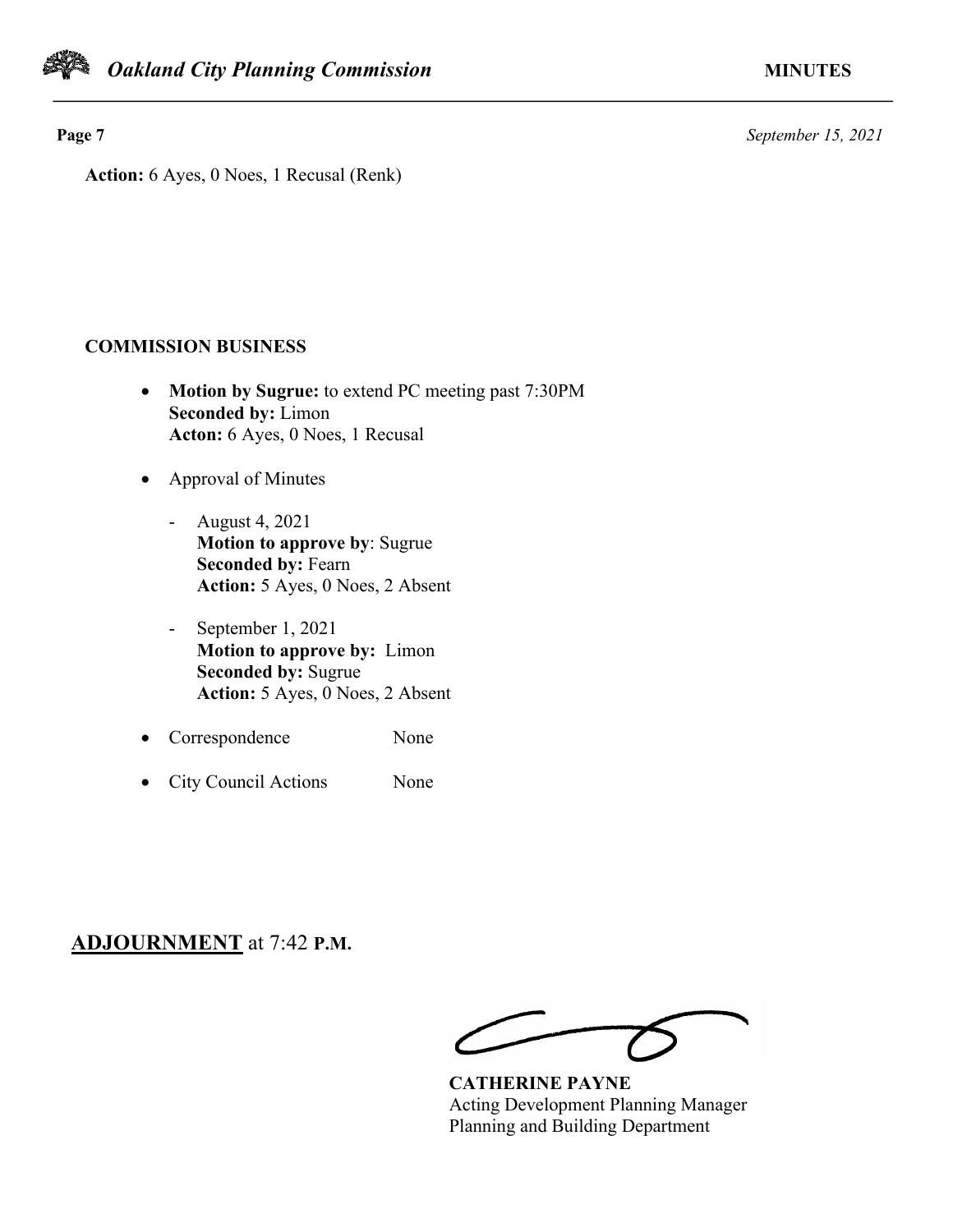**Page 7** *September 15, 2021*

**Action:** 6 Ayes, 0 Noes, 1 Recusal (Renk)

# **COMMISSION BUSINESS**

- **Motion by Sugrue:** to extend PC meeting past 7:30PM **Seconded by:** Limon **Acton:** 6 Ayes, 0 Noes, 1 Recusal
- Approval of Minutes
	- August 4, 2021 **Motion to approve by**: Sugrue **Seconded by:** Fearn **Action:** 5 Ayes, 0 Noes, 2 Absent
	- September 1, 2021 **Motion to approve by:** Limon **Seconded by:** Sugrue **Action:** 5 Ayes, 0 Noes, 2 Absent
- Correspondence None
- City Council Actions None

# **ADJOURNMENT** at 7:42 **P.M.**

**CATHERINE PAYNE** Acting Development Planning Manager Planning and Building Department